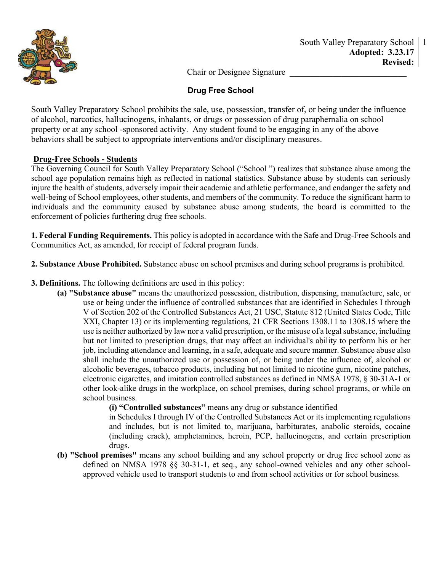

Chair or Designee Signature

# **Drug Free School**

South Valley Preparatory School prohibits the sale, use, possession, transfer of, or being under the influence of alcohol, narcotics, hallucinogens, inhalants, or drugs or possession of drug paraphernalia on school property or at any school -sponsored activity. Any student found to be engaging in any of the above behaviors shall be subject to appropriate interventions and/or disciplinary measures.

## **Drug-Free Schools - Students**

The Governing Council for South Valley Preparatory School ("School ") realizes that substance abuse among the school age population remains high as reflected in national statistics. Substance abuse by students can seriously injure the health of students, adversely impair their academic and athletic performance, and endanger the safety and well-being of School employees, other students, and members of the community. To reduce the significant harm to individuals and the community caused by substance abuse among students, the board is committed to the enforcement of policies furthering drug free schools.

**1. Federal Funding Requirements.** This policy is adopted in accordance with the Safe and Drug-Free Schools and Communities Act, as amended, for receipt of federal program funds.

**2. Substance Abuse Prohibited.** Substance abuse on school premises and during school programs is prohibited.

- **3. Definitions.** The following definitions are used in this policy:
	- **(a) "Substance abuse"** means the unauthorized possession, distribution, dispensing, manufacture, sale, or use or being under the influence of controlled substances that are identified in Schedules I through V of Section 202 of the Controlled Substances Act, 21 USC, Statute 812 (United States Code, Title XXI, Chapter 13) or its implementing regulations, 21 CFR Sections 1308.11 to 1308.15 where the use is neither authorized by law nor a valid prescription, or the misuse of a legal substance, including but not limited to prescription drugs, that may affect an individual's ability to perform his or her job, including attendance and learning, in a safe, adequate and secure manner. Substance abuse also shall include the unauthorized use or possession of, or being under the influence of, alcohol or alcoholic beverages, tobacco products, including but not limited to nicotine gum, nicotine patches, electronic cigarettes, and imitation controlled substances as defined in NMSA 1978, § 30-31A-1 or other look-alike drugs in the workplace, on school premises, during school programs, or while on school business.
		- **(i) "Controlled substances"** means any drug or substance identified

in Schedules I through IV of the Controlled Substances Act or its implementing regulations and includes, but is not limited to, marijuana, barbiturates, anabolic steroids, cocaine (including crack), amphetamines, heroin, PCP, hallucinogens, and certain prescription drugs.

**(b) "School premises"** means any school building and any school property or drug free school zone as defined on NMSA 1978 §§ 30-31-1, et seq., any school-owned vehicles and any other schoolapproved vehicle used to transport students to and from school activities or for school business.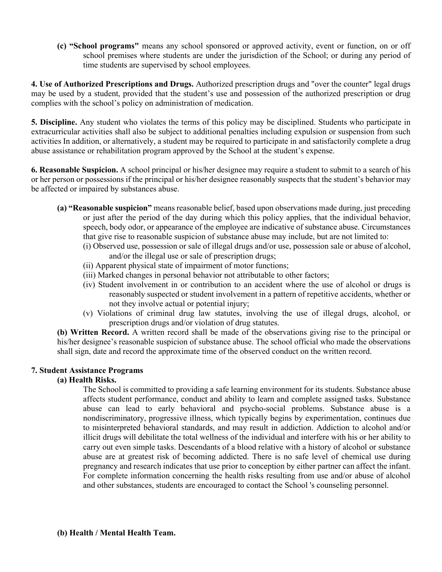**(c) "School programs"** means any school sponsored or approved activity, event or function, on or off school premises where students are under the jurisdiction of the School; or during any period of time students are supervised by school employees.

**4. Use of Authorized Prescriptions and Drugs.** Authorized prescription drugs and "over the counter" legal drugs may be used by a student, provided that the student's use and possession of the authorized prescription or drug complies with the school's policy on administration of medication.

**5. Discipline.** Any student who violates the terms of this policy may be disciplined. Students who participate in extracurricular activities shall also be subject to additional penalties including expulsion or suspension from such activities In addition, or alternatively, a student may be required to participate in and satisfactorily complete a drug abuse assistance or rehabilitation program approved by the School at the student's expense.

**6. Reasonable Suspicion.** A school principal or his/her designee may require a student to submit to a search of his or her person or possessions if the principal or his/her designee reasonably suspects that the student's behavior may be affected or impaired by substances abuse.

- **(a) "Reasonable suspicion"** means reasonable belief, based upon observations made during, just preceding or just after the period of the day during which this policy applies, that the individual behavior, speech, body odor, or appearance of the employee are indicative of substance abuse. Circumstances that give rise to reasonable suspicion of substance abuse may include, but are not limited to:
	- (i) Observed use, possession or sale of illegal drugs and/or use, possession sale or abuse of alcohol, and/or the illegal use or sale of prescription drugs;
	- (ii) Apparent physical state of impairment of motor functions;
	- (iii) Marked changes in personal behavior not attributable to other factors;
	- (iv) Student involvement in or contribution to an accident where the use of alcohol or drugs is reasonably suspected or student involvement in a pattern of repetitive accidents, whether or not they involve actual or potential injury;
	- (v) Violations of criminal drug law statutes, involving the use of illegal drugs, alcohol, or prescription drugs and/or violation of drug statutes.

**(b) Written Record.** A written record shall be made of the observations giving rise to the principal or his/her designee's reasonable suspicion of substance abuse. The school official who made the observations shall sign, date and record the approximate time of the observed conduct on the written record.

## **7. Student Assistance Programs**

## **(a) Health Risks.**

The School is committed to providing a safe learning environment for its students. Substance abuse affects student performance, conduct and ability to learn and complete assigned tasks. Substance abuse can lead to early behavioral and psycho-social problems. Substance abuse is a nondiscriminatory, progressive illness, which typically begins by experimentation, continues due to misinterpreted behavioral standards, and may result in addiction. Addiction to alcohol and/or illicit drugs will debilitate the total wellness of the individual and interfere with his or her ability to carry out even simple tasks. Descendants of a blood relative with a history of alcohol or substance abuse are at greatest risk of becoming addicted. There is no safe level of chemical use during pregnancy and research indicates that use prior to conception by either partner can affect the infant. For complete information concerning the health risks resulting from use and/or abuse of alcohol and other substances, students are encouraged to contact the School 's counseling personnel.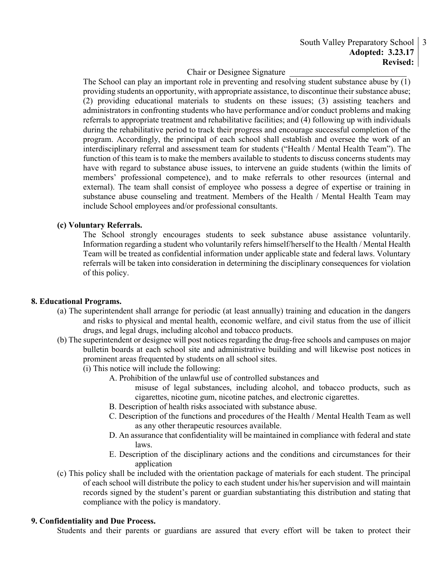### South Valley Preparatory School 3 **Adopted: 3.23.17 Revised:**

# Chair or Designee Signature

The School can play an important role in preventing and resolving student substance abuse by (1) providing students an opportunity, with appropriate assistance, to discontinue their substance abuse; (2) providing educational materials to students on these issues; (3) assisting teachers and administrators in confronting students who have performance and/or conduct problems and making referrals to appropriate treatment and rehabilitative facilities; and (4) following up with individuals during the rehabilitative period to track their progress and encourage successful completion of the program. Accordingly, the principal of each school shall establish and oversee the work of an interdisciplinary referral and assessment team for students ("Health / Mental Health Team"). The function of this team is to make the members available to students to discuss concerns students may have with regard to substance abuse issues, to intervene an guide students (within the limits of members' professional competence), and to make referrals to other resources (internal and external). The team shall consist of employee who possess a degree of expertise or training in substance abuse counseling and treatment. Members of the Health / Mental Health Team may include School employees and/or professional consultants.

### **(c) Voluntary Referrals.**

The School strongly encourages students to seek substance abuse assistance voluntarily. Information regarding a student who voluntarily refers himself/herself to the Health / Mental Health Team will be treated as confidential information under applicable state and federal laws. Voluntary referrals will be taken into consideration in determining the disciplinary consequences for violation of this policy.

#### **8. Educational Programs.**

- (a) The superintendent shall arrange for periodic (at least annually) training and education in the dangers and risks to physical and mental health, economic welfare, and civil status from the use of illicit drugs, and legal drugs, including alcohol and tobacco products.
- (b) The superintendent or designee will post notices regarding the drug-free schools and campuses on major bulletin boards at each school site and administrative building and will likewise post notices in prominent areas frequented by students on all school sites.
	- (i) This notice will include the following:
		- A. Prohibition of the unlawful use of controlled substances and
			- misuse of legal substances, including alcohol, and tobacco products, such as cigarettes, nicotine gum, nicotine patches, and electronic cigarettes.
			- B. Description of health risks associated with substance abuse.
			- C. Description of the functions and procedures of the Health / Mental Health Team as well as any other therapeutic resources available.
			- D. An assurance that confidentiality will be maintained in compliance with federal and state laws.
			- E. Description of the disciplinary actions and the conditions and circumstances for their application
- (c) This policy shall be included with the orientation package of materials for each student. The principal of each school will distribute the policy to each student under his/her supervision and will maintain records signed by the student's parent or guardian substantiating this distribution and stating that compliance with the policy is mandatory.

### **9. Confidentiality and Due Process.**

Students and their parents or guardians are assured that every effort will be taken to protect their